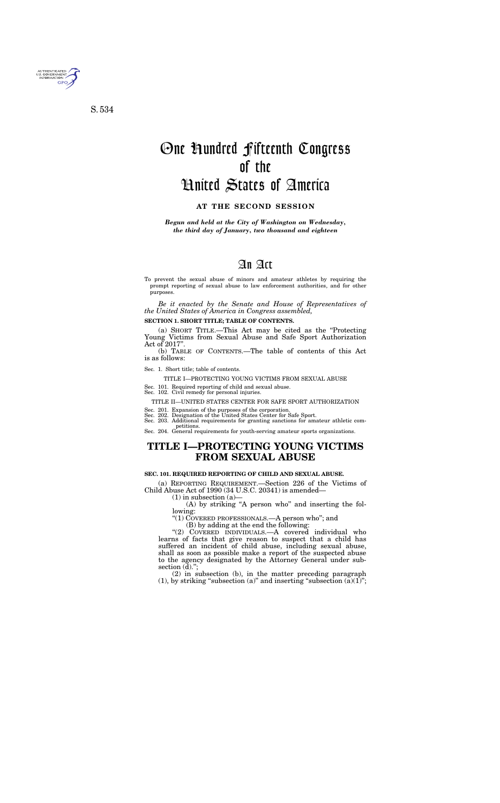# An Act

To prevent the sexual abuse of minors and amateur athletes by requiring the prompt reporting of sexual abuse to law enforcement authorities, and for other purposes.

*Be it enacted by the Senate and House of Representatives of the United States of America in Congress assembled,* 

### **SECTION 1. SHORT TITLE; TABLE OF CONTENTS.**

(a) SHORT TITLE.—This Act may be cited as the ''Protecting Young Victims from Sexual Abuse and Safe Sport Authorization Act of 2017''.

(b) TABLE OF CONTENTS.—The table of contents of this Act is as follows:

### Sec. 1. Short title; table of contents.

#### TITLE I—PROTECTING YOUNG VICTIMS FROM SEXUAL ABUSE

Sec. 101. Required reporting of child and sexual abuse.

Sec. 102. Civil remedy for personal injuries.

#### TITLE II—UNITED STATES CENTER FOR SAFE SPORT AUTHORIZATION

- Sec. 201. Expansion of the purposes of the corporation. Sec. 202. Designation of the United States Center for Safe Sport.
- 

Sec. 203. Additional requirements for granting sanctions for amateur athletic competitions. Sec. 204. General requirements for youth-serving amateur sports organizations.

# **TITLE I—PROTECTING YOUNG VICTIMS FROM SEXUAL ABUSE**

### **SEC. 101. REQUIRED REPORTING OF CHILD AND SEXUAL ABUSE.**

(a) REPORTING REQUIREMENT.—Section 226 of the Victims of Child Abuse Act of 1990 (34 U.S.C. 20341) is amended—

 $(1)$  in subsection  $(a)$ —

(A) by striking "A person who" and inserting the following:

''(1) COVERED PROFESSIONALS.—A person who''; and

(B) by adding at the end the following:

"(2) COVERED INDIVIDUALS.—A covered individual who learns of facts that give reason to suspect that a child has suffered an incident of child abuse, including sexual abuse, shall as soon as possible make a report of the suspected abuse to the agency designated by the Attorney General under subsection (d).";

(2) in subsection (b), in the matter preceding paragraph (1), by striking "subsection (a)" and inserting "subsection  $(a)(1)$ ";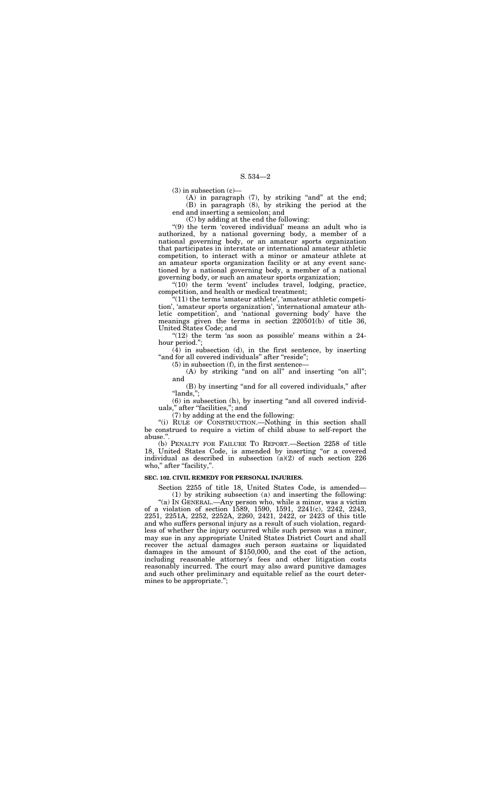$(3)$  in subsection  $(c)$ —

(A) in paragraph  $(7)$ , by striking "and" at the end; (B) in paragraph (8), by striking the period at the end and inserting a semicolon; and

(C) by adding at the end the following:

"(9) the term 'covered individual' means an adult who is authorized, by a national governing body, a member of a national governing body, or an amateur sports organization that participates in interstate or international amateur athletic competition, to interact with a minor or amateur athlete at an amateur sports organization facility or at any event sanctioned by a national governing body, a member of a national governing body, or such an amateur sports organization;

"(10) the term 'event' includes travel, lodging, practice, competition, and health or medical treatment;

" $(12)$  the term 'as soon as possible' means within a 24hour period.'';

(4) in subsection (d), in the first sentence, by inserting "and for all covered individuals" after "reside";

 $(A)$  by striking "and on all" and inserting "on all"; and

(B) by inserting "and for all covered individuals," after ''lands,'';

(6) in subsection (h), by inserting ''and all covered individuals," after "facilities,"; and

(b) PENALTY FOR FAILURE TO REPORT.—Section 2258 of title 18, United States Code, is amended by inserting "or a covered individual as described in subsection (a)(2) of such section 226 who," after "facility,".

''(11) the terms 'amateur athlete', 'amateur athletic competition', 'amateur sports organization', 'international amateur athletic competition', and 'national governing body' have the meanings given the terms in section 220501(b) of title 36, United States Code; and

(5) in subsection (f), in the first sentence—

(7) by adding at the end the following:

"(i) RULE OF CONSTRUCTION.—Nothing in this section shall be construed to require a victim of child abuse to self-report the abuse."

### **SEC. 102. CIVIL REMEDY FOR PERSONAL INJURIES.**

Section 2255 of title 18, United States Code, is amended—

(1) by striking subsection (a) and inserting the following: "(a) In GENERAL.—Any person who, while a minor, was a victim of a violation of section 1589, 1590, 1591, 2241(c), 2242, 2243, 2251, 2251A, 2252, 2252A, 2260, 2421, 2422, or 2423 of this title and who suffers personal injury as a result of such violation, regardless of whether the injury occurred while such person was a minor, may sue in any appropriate United States District Court and shall recover the actual damages such person sustains or liquidated damages in the amount of \$150,000, and the cost of the action, including reasonable attorney's fees and other litigation costs reasonably incurred. The court may also award punitive damages and such other preliminary and equitable relief as the court determines to be appropriate.'';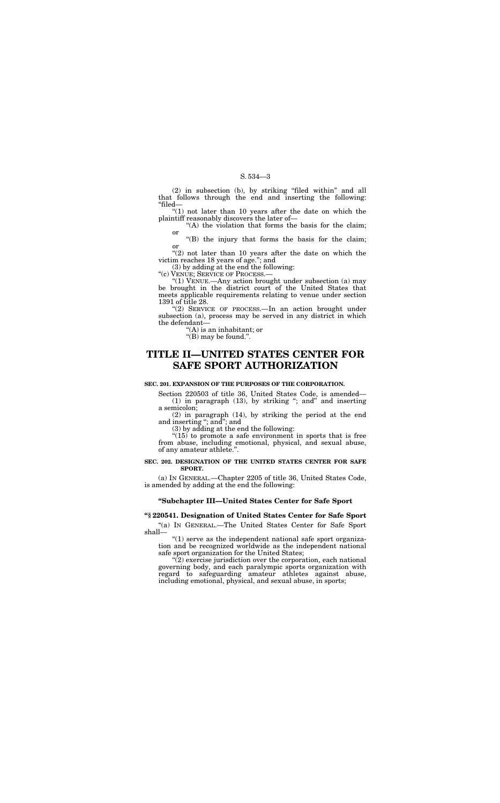(2) in subsection (b), by striking ''filed within'' and all that follows through the end and inserting the following: ''filed—

" $(1)$  not later than 10 years after the date on which the plaintiff reasonably discovers the later of—

"(A) the violation that forms the basis for the claim; or

" $(2)$  not later than 10 years after the date on which the victim reaches 18 years of age.''; and

''(B) the injury that forms the basis for the claim; or

"(2) SERVICE OF PROCESS.—In an action brought under subsection (a), process may be served in any district in which the defendant—

 $f(A)$  is an inhabitant; or

" $(B)$  may be found.".

(3) by adding at the end the following:

''(c) VENUE; SERVICE OF PROCESS.—

''(1) VENUE.—Any action brought under subsection (a) may be brought in the district court of the United States that meets applicable requirements relating to venue under section 1391 of title 28.

" $(15)$  to promote a safe environment in sports that is free from abuse, including emotional, physical, and sexual abuse, of any amateur athlete.''.

# **TITLE II—UNITED STATES CENTER FOR SAFE SPORT AUTHORIZATION**

" $(1)$  serve as the independent national safe sport organization and be recognized worldwide as the independent national safe sport organization for the United States;

### **SEC. 201. EXPANSION OF THE PURPOSES OF THE CORPORATION.**

Section 220503 of title 36, United States Code, is amended— (1) in paragraph (13), by striking ''; and'' and inserting a semicolon;

 $"$ (2) exercise jurisdiction over the corporation, each national governing body, and each paralympic sports organization with regard to safeguarding amateur athletes against abuse, including emotional, physical, and sexual abuse, in sports;

(2) in paragraph (14), by striking the period at the end and inserting ''; and''; and

(3) by adding at the end the following:

### **SEC. 202. DESIGNATION OF THE UNITED STATES CENTER FOR SAFE SPORT.**

(a) IN GENERAL.—Chapter 2205 of title 36, United States Code, is amended by adding at the end the following:

# **''Subchapter III—United States Center for Safe Sport**

# **''§ 220541. Designation of United States Center for Safe Sport**

''(a) IN GENERAL.—The United States Center for Safe Sport shall—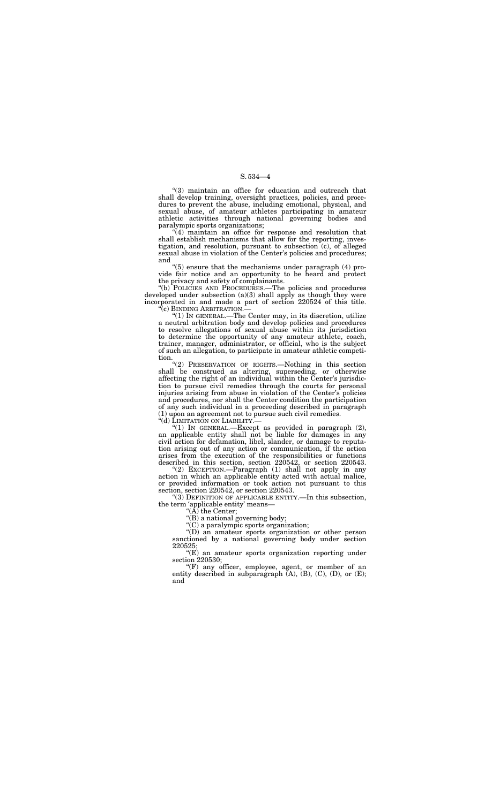''(3) maintain an office for education and outreach that shall develop training, oversight practices, policies, and procedures to prevent the abuse, including emotional, physical, and sexual abuse, of amateur athletes participating in amateur athletic activities through national governing bodies and paralympic sports organizations;

 $\sqrt[4]{(4)}$  maintain an office for response and resolution that shall establish mechanisms that allow for the reporting, investigation, and resolution, pursuant to subsection (c), of alleged sexual abuse in violation of the Center's policies and procedures; and

''(b) POLICIES AND PROCEDURES.—The policies and procedures developed under subsection  $(a)(3)$  shall apply as though they were incorporated in and made a part of section 220524 of this title. "(c) BINDING ARBITRATION.—

"(1) IN GENERAL.—The Center may, in its discretion, utilize a neutral arbitration body and develop policies and procedures to resolve allegations of sexual abuse within its jurisdiction to determine the opportunity of any amateur athlete, coach, trainer, manager, administrator, or official, who is the subject of such an allegation, to participate in amateur athletic competition.

''(5) ensure that the mechanisms under paragraph (4) provide fair notice and an opportunity to be heard and protect the privacy and safety of complainants.

"(1) IN GENERAL.—Except as provided in paragraph  $(2)$ , an applicable entity shall not be liable for damages in any civil action for defamation, libel, slander, or damage to reputation arising out of any action or communication, if the action arises from the execution of the responsibilities or functions described in this section, section 220542, or section 220543.

"(F) any officer, employee, agent, or member of an entity described in subparagraph  $(A)$ ,  $(B)$ ,  $(C)$ ,  $(D)$ , or  $(E)$ ; and

''(2) PRESERVATION OF RIGHTS.—Nothing in this section shall be construed as altering, superseding, or otherwise affecting the right of an individual within the Center's jurisdiction to pursue civil remedies through the courts for personal injuries arising from abuse in violation of the Center's policies and procedures, nor shall the Center condition the participation of any such individual in a proceeding described in paragraph (1) upon an agreement not to pursue such civil remedies.

''(2) EXCEPTION.—Paragraph (1) shall not apply in any action in which an applicable entity acted with actual malice, or provided information or took action not pursuant to this section, section 220542, or section 220543.

''(3) DEFINITION OF APPLICABLE ENTITY.—In this subsection, the term 'applicable entity' means—

"(A) the Center;

''(B) a national governing body;

''(C) a paralympic sports organization;

''(D) an amateur sports organization or other person sanctioned by a national governing body under section 220525;

''(E) an amateur sports organization reporting under section 220530;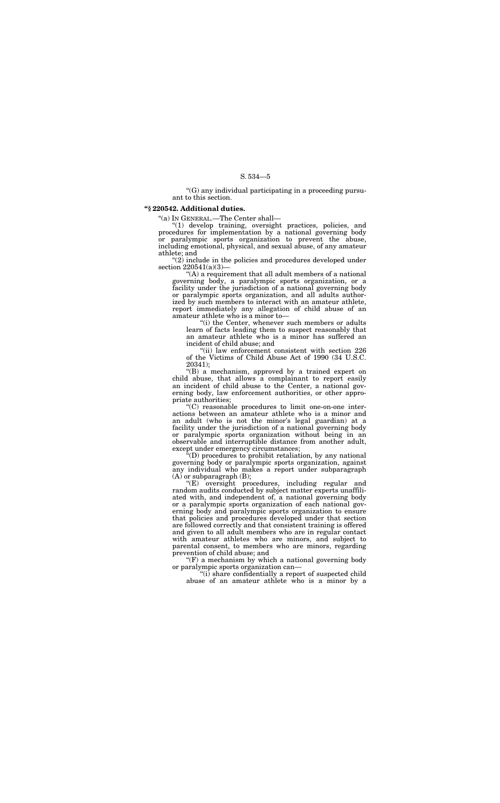''(G) any individual participating in a proceeding pursuant to this section.

### **''§ 220542. Additional duties.**

''(a) IN GENERAL.—The Center shall—

"(2) include in the policies and procedures developed under section 220541(a)(3)—

''(1) develop training, oversight practices, policies, and procedures for implementation by a national governing body or paralympic sports organization to prevent the abuse, including emotional, physical, and sexual abuse, of any amateur athlete; and

> "(ii) law enforcement consistent with section 226 of the Victims of Child Abuse Act of 1990 (34 U.S.C. 20341);

''(A) a requirement that all adult members of a national governing body, a paralympic sports organization, or a facility under the jurisdiction of a national governing body or paralympic sports organization, and all adults authorized by such members to interact with an amateur athlete, report immediately any allegation of child abuse of an amateur athlete who is a minor to—

''(i) the Center, whenever such members or adults learn of facts leading them to suspect reasonably that an amateur athlete who is a minor has suffered an incident of child abuse; and

''(B) a mechanism, approved by a trained expert on child abuse, that allows a complainant to report easily an incident of child abuse to the Center, a national governing body, law enforcement authorities, or other appropriate authorities;

 $F(F)$  a mechanism by which a national governing body or paralympic sports organization can—

''(C) reasonable procedures to limit one-on-one interactions between an amateur athlete who is a minor and an adult (who is not the minor's legal guardian) at a facility under the jurisdiction of a national governing body or paralympic sports organization without being in an observable and interruptible distance from another adult, except under emergency circumstances;

''(D) procedures to prohibit retaliation, by any national governing body or paralympic sports organization, against any individual who makes a report under subparagraph (A) or subparagraph (B);

''(E) oversight procedures, including regular and random audits conducted by subject matter experts unaffiliated with, and independent of, a national governing body or a paralympic sports organization of each national governing body and paralympic sports organization to ensure that policies and procedures developed under that section are followed correctly and that consistent training is offered and given to all adult members who are in regular contact with amateur athletes who are minors, and subject to parental consent, to members who are minors, regarding prevention of child abuse; and

''(i) share confidentially a report of suspected child abuse of an amateur athlete who is a minor by a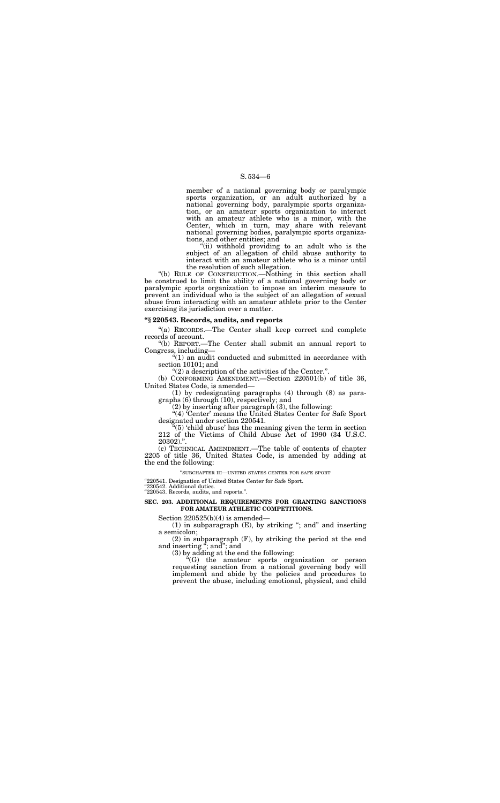member of a national governing body or paralympic sports organization, or an adult authorized by a national governing body, paralympic sports organization, or an amateur sports organization to interact with an amateur athlete who is a minor, with the Center, which in turn, may share with relevant national governing bodies, paralympic sports organizations, and other entities; and

''(ii) withhold providing to an adult who is the subject of an allegation of child abuse authority to interact with an amateur athlete who is a minor until the resolution of such allegation.

"(a) RECORDS.—The Center shall keep correct and complete records of account.

 $''(1)$  an audit conducted and submitted in accordance with section 10101; and

"(2) a description of the activities of the Center.".

''(b) RULE OF CONSTRUCTION.—Nothing in this section shall be construed to limit the ability of a national governing body or paralympic sports organization to impose an interim measure to prevent an individual who is the subject of an allegation of sexual abuse from interacting with an amateur athlete prior to the Center exercising its jurisdiction over a matter.

"(4) 'Center' means the United States Center for Safe Sport designated under section 220541.

### **''§ 220543. Records, audits, and reports**

''(b) REPORT.—The Center shall submit an annual report to Congress, including—

(b) CONFORMING AMENDMENT.—Section 220501(b) of title 36, United States Code, is amended—

(1) by redesignating paragraphs (4) through (8) as paragraphs (6) through (10), respectively; and

(2) by inserting after paragraph (3), the following:

''(5) 'child abuse' has the meaning given the term in section 212 of the Victims of Child Abuse Act of 1990 (34 U.S.C. 20302).''.

(c) TECHNICAL AMENDMENT.—The table of contents of chapter 2205 of title 36, United States Code, is amended by adding at the end the following:

''SUBCHAPTER III—UNITED STATES CENTER FOR SAFE SPORT

"220541. Designation of United States Center for Safe Sport.

''220542. Additional duties.

''220543. Records, audits, and reports.''.

### **SEC. 203. ADDITIONAL REQUIREMENTS FOR GRANTING SANCTIONS FOR AMATEUR ATHLETIC COMPETITIONS.**

Section 220525(b)(4) is amended—

(1) in subparagraph (E), by striking ''; and'' and inserting a semicolon;

(2) in subparagraph (F), by striking the period at the end and inserting ''; and''; and

(3) by adding at the end the following:

''(G) the amateur sports organization or person requesting sanction from a national governing body will implement and abide by the policies and procedures to prevent the abuse, including emotional, physical, and child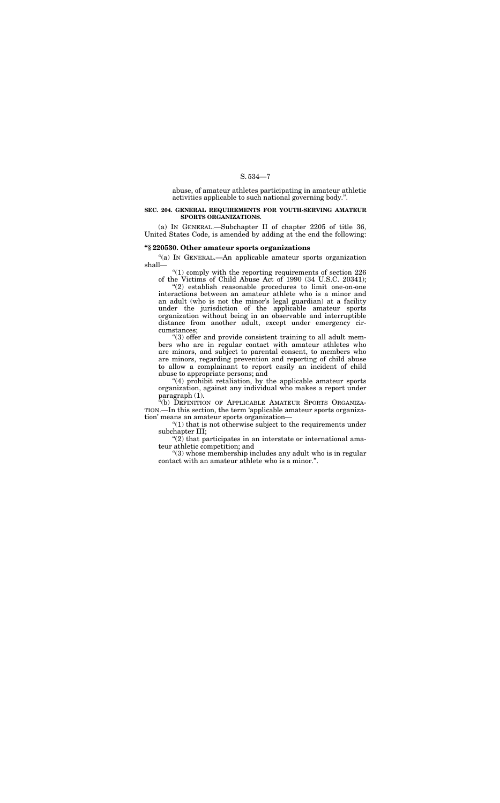abuse, of amateur athletes participating in amateur athletic activities applicable to such national governing body.''.

### **SEC. 204. GENERAL REQUIREMENTS FOR YOUTH-SERVING AMATEUR SPORTS ORGANIZATIONS.**

"(a) IN GENERAL.—An applicable amateur sports organization shall—

(a) IN GENERAL.—Subchapter II of chapter 2205 of title 36, United States Code, is amended by adding at the end the following:

" $(1)$  comply with the reporting requirements of section 226 of the Victims of Child Abuse Act of 1990 (34 U.S.C. 20341);

### **''§ 220530. Other amateur sports organizations**

"(4) prohibit retaliation, by the applicable amateur sports organization, against any individual who makes a report under paragraph (1).

''(2) establish reasonable procedures to limit one-on-one interactions between an amateur athlete who is a minor and an adult (who is not the minor's legal guardian) at a facility under the jurisdiction of the applicable amateur sports organization without being in an observable and interruptible distance from another adult, except under emergency circumstances;

"(b) DEFINITION OF APPLICABLE AMATEUR SPORTS ORGANIZA-TION.—In this section, the term 'applicable amateur sports organization' means an amateur sports organization—

 $"(1)$  that is not otherwise subject to the requirements under subchapter III;

 $(2)$  that participates in an interstate or international amateur athletic competition; and

''(3) offer and provide consistent training to all adult members who are in regular contact with amateur athletes who are minors, and subject to parental consent, to members who are minors, regarding prevention and reporting of child abuse to allow a complainant to report easily an incident of child abuse to appropriate persons; and

''(3) whose membership includes any adult who is in regular contact with an amateur athlete who is a minor.''.